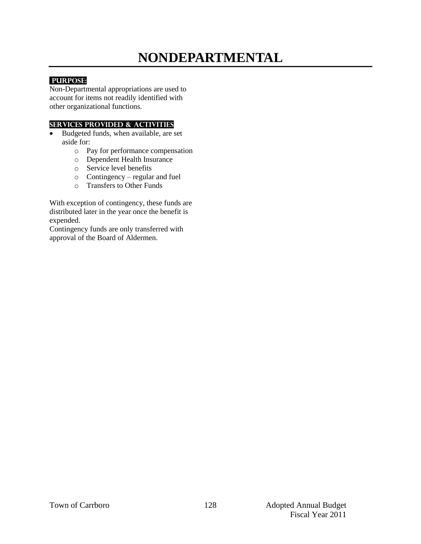# **NONDEPARTMENTAL**

# **PURPOSE:**

Non-Departmental appropriations are used to account for items not readily identified with other organizational functions.

#### **Services provided & activities**

- Budgeted funds, when available, are set aside for:
	- o Pay for performance compensation
	- o Dependent Health Insurance
	- o Service level benefits
	- o Contingency regular and fuel
	- o Transfers to Other Funds

With exception of contingency, these funds are distributed later in the year once the benefit is expended.

Contingency funds are only transferred with approval of the Board of Aldermen.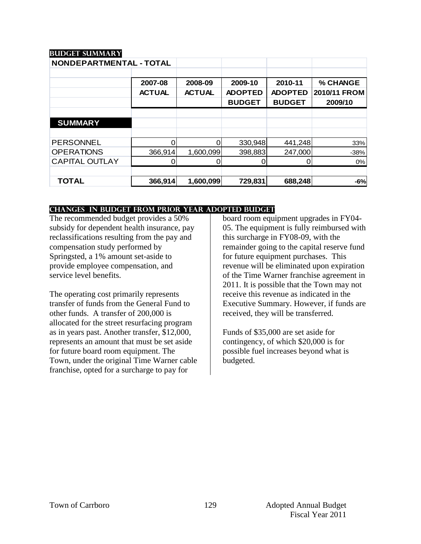# **Budget summary**

| NONDEPARTMENTAL - TOTAL |               |               |                |                |              |
|-------------------------|---------------|---------------|----------------|----------------|--------------|
|                         |               |               |                |                |              |
|                         | 2007-08       | 2008-09       | 2009-10        | 2010-11        | % CHANGE     |
|                         | <b>ACTUAL</b> | <b>ACTUAL</b> | <b>ADOPTED</b> | <b>ADOPTED</b> | 2010/11 FROM |
|                         |               |               | <b>BUDGET</b>  | <b>BUDGET</b>  | 2009/10      |
|                         |               |               |                |                |              |
| <b>SUMMARY</b>          |               |               |                |                |              |
|                         |               |               |                |                |              |
| <b>PERSONNEL</b>        |               | O             | 330,948        | 441,248        | 33%          |
| <b>OPERATIONS</b>       | 366,914       | 1,600,099     | 398,883        | 247,000        | $-38%$       |
| <b>CAPITAL OUTLAY</b>   |               |               |                |                | 0%           |
|                         |               |               |                |                |              |
| <b>TOTAL</b>            | 366,914       | 1,600,099     | 729,831        | 688,248        | $-6%$        |

#### **changes in budget from prior year adopted budget**

The recommended budget provides a 50% subsidy for dependent health insurance, pay reclassifications resulting from the pay and compensation study performed by Springsted, a 1% amount set-aside to provide employee compensation, and service level benefits.

The operating cost primarily represents transfer of funds from the General Fund to other funds. A transfer of 200,000 is allocated for the street resurfacing program as in years past. Another transfer, \$12,000, represents an amount that must be set aside for future board room equipment. The Town, under the original Time Warner cable franchise, opted for a surcharge to pay for

board room equipment upgrades in FY04- 05. The equipment is fully reimbursed with this surcharge in FY08-09, with the remainder going to the capital reserve fund for future equipment purchases. This revenue will be eliminated upon expiration of the Time Warner franchise agreement in 2011. It is possible that the Town may not receive this revenue as indicated in the Executive Summary. However, if funds are received, they will be transferred.

Funds of \$35,000 are set aside for contingency, of which \$20,000 is for possible fuel increases beyond what is budgeted.